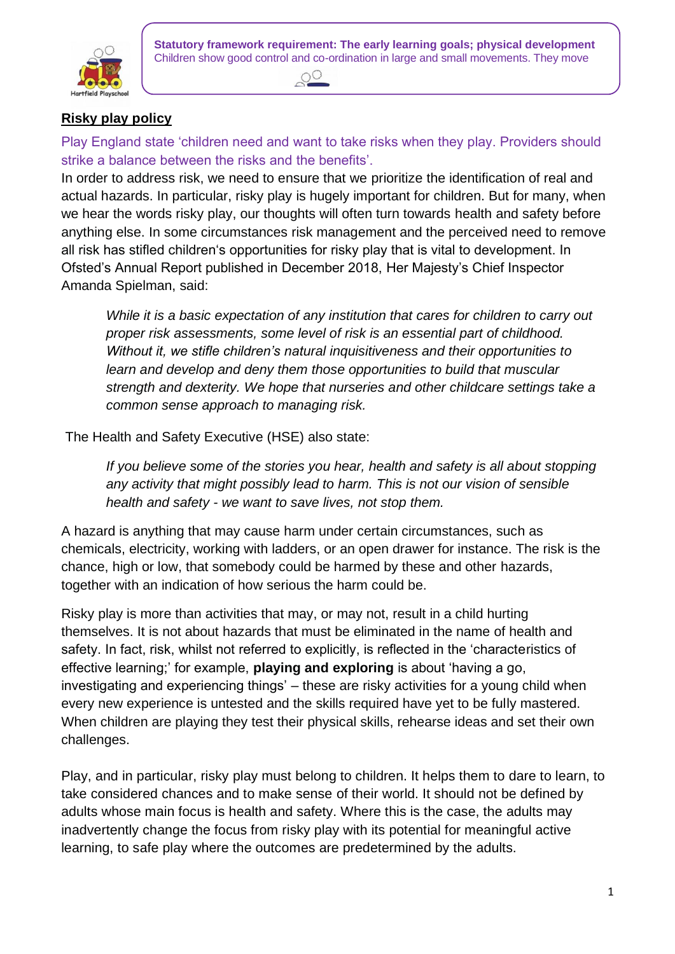



# **Risky play policy**

confidently in a range of ways, safely negotiating space of ways, safely negotiating space  $\mathcal{L}$ Play England state 'children need and want to take risks when they play. Providers should strike a balance between the risks and the benefits'.

In order to address risk, we need to ensure that we prioritize the identification of real and actual hazards. In particular, risky play is hugely important for children. But for many, when we hear the words risky play, our thoughts will often turn towards health and safety before anything else. In some circumstances risk management and the perceived need to remove all risk has stifled children's opportunities for risky play that is vital to development. In Ofsted's Annual Report published in December 2018, Her Majesty's Chief Inspector Amanda Spielman, said:

*While it is a basic expectation of any institution that cares for children to carry out proper risk assessments, some level of risk is an essential part of childhood. Without it, we stifle children's natural inquisitiveness and their opportunities to learn and develop and deny them those opportunities to build that muscular strength and dexterity. We hope that nurseries and other childcare settings take a common sense approach to managing risk.*

The Health and Safety Executive (HSE) also state:

*If you believe some of the stories you hear, health and safety is all about stopping any activity that might possibly lead to harm. This is not our vision of sensible health and safety - we want to save lives, not stop them.*

A hazard is anything that may cause harm under certain circumstances, such as chemicals, electricity, working with ladders, or an open drawer for instance. The risk is the chance, high or low, that somebody could be harmed by these and other hazards, together with an indication of how serious the harm could be.

Risky play is more than activities that may, or may not, result in a child hurting themselves. It is not about hazards that must be eliminated in the name of health and safety. In fact, risk, whilst not referred to explicitly, is reflected in the 'characteristics of effective learning;' for example, **playing and exploring** is about 'having a go, investigating and experiencing things' – these are risky activities for a young child when every new experience is untested and the skills required have yet to be fully mastered. When children are playing they test their physical skills, rehearse ideas and set their own challenges.

Play, and in particular, risky play must belong to children. It helps them to dare to learn, to take considered chances and to make sense of their world. It should not be defined by adults whose main focus is health and safety. Where this is the case, the adults may inadvertently change the focus from risky play with its potential for meaningful active learning, to safe play where the outcomes are predetermined by the adults.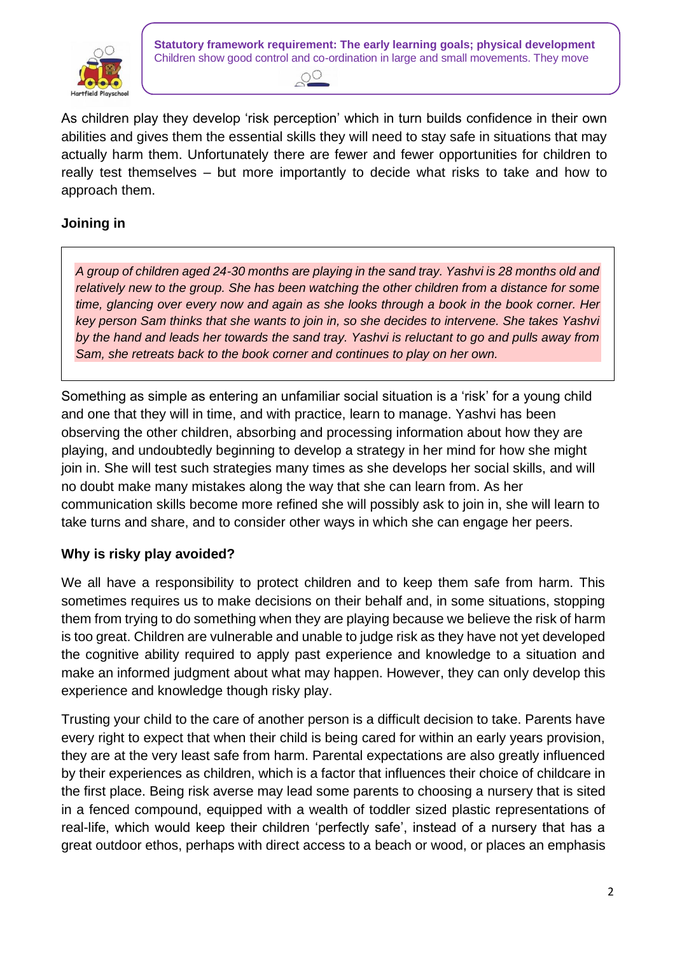

**Statutory framework requirement: The early learning goals; physical development** Children show good control and co-ordination in large and small movements. They move



abilities and gives them the essential skills they will need to stay safe in situations that may As children play they develop 'risk perception' which in turn builds confidence in their own actually harm them. Unfortunately there are fewer and fewer opportunities for children to really test themselves – but more importantly to decide what risks to take and how to approach them.

### **Joining in**

*A group of children aged 24-30 months are playing in the sand tray. Yashvi is 28 months old and relatively new to the group. She has been watching the other children from a distance for some time, glancing over every now and again as she looks through a book in the book corner. Her key person Sam thinks that she wants to join in, so she decides to intervene. She takes Yashvi by the hand and leads her towards the sand tray. Yashvi is reluctant to go and pulls away from Sam, she retreats back to the book corner and continues to play on her own.*

Something as simple as entering an unfamiliar social situation is a 'risk' for a young child and one that they will in time, and with practice, learn to manage. Yashvi has been observing the other children, absorbing and processing information about how they are playing, and undoubtedly beginning to develop a strategy in her mind for how she might join in. She will test such strategies many times as she develops her social skills, and will no doubt make many mistakes along the way that she can learn from. As her communication skills become more refined she will possibly ask to join in, she will learn to take turns and share, and to consider other ways in which she can engage her peers.

## **Why is risky play avoided?**

We all have a responsibility to protect children and to keep them safe from harm. This sometimes requires us to make decisions on their behalf and, in some situations, stopping them from trying to do something when they are playing because we believe the risk of harm is too great. Children are vulnerable and unable to judge risk as they have not yet developed the cognitive ability required to apply past experience and knowledge to a situation and make an informed judgment about what may happen. However, they can only develop this experience and knowledge though risky play.

Trusting your child to the care of another person is a difficult decision to take. Parents have every right to expect that when their child is being cared for within an early years provision, they are at the very least safe from harm. Parental expectations are also greatly influenced by their experiences as children, which is a factor that influences their choice of childcare in the first place. Being risk averse may lead some parents to choosing a nursery that is sited in a fenced compound, equipped with a wealth of toddler sized plastic representations of real-life, which would keep their children 'perfectly safe', instead of a nursery that has a great outdoor ethos, perhaps with direct access to a beach or wood, or places an emphasis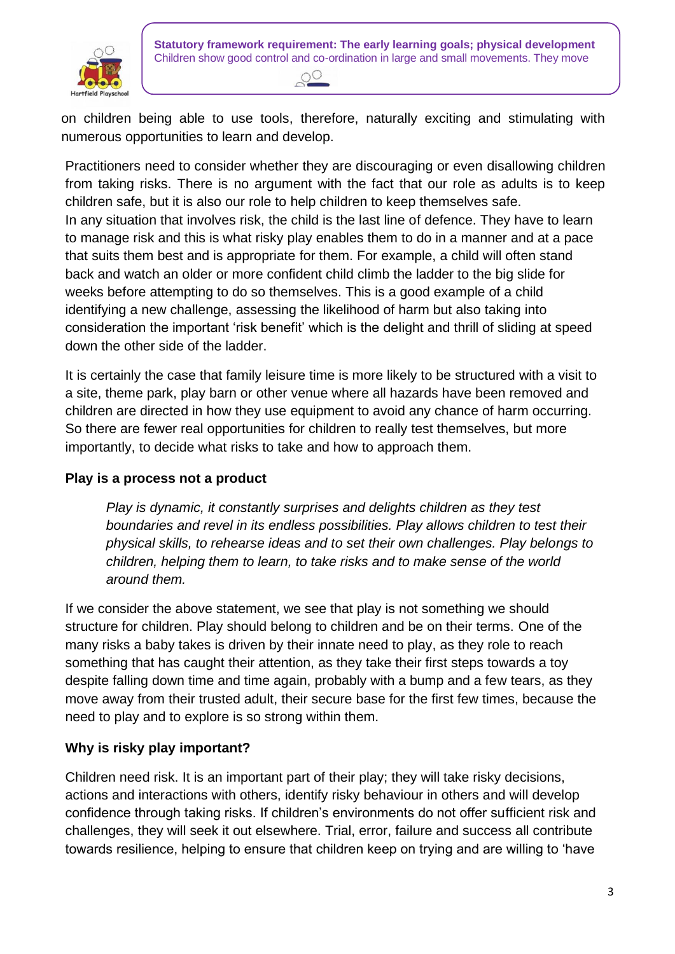

**Statutory framework requirement: The early learning goals; physical development** Children show good control and co-ordination in large and small movements. They move

numerous opportunities to learn and develop. on children being able to use tools, therefore, naturally exciting and stimulating with

Practitioners need to consider whether they are discouraging or even disallowing children from taking risks. There is no argument with the fact that our role as adults is to keep children safe, but it is also our role to help children to keep themselves safe. In any situation that involves risk, the child is the last line of defence. They have to learn to manage risk and this is what risky play enables them to do in a manner and at a pace that suits them best and is appropriate for them. For example, a child will often stand back and watch an older or more confident child climb the ladder to the big slide for weeks before attempting to do so themselves. This is a good example of a child identifying a new challenge, assessing the likelihood of harm but also taking into consideration the important 'risk benefit' which is the delight and thrill of sliding at speed down the other side of the ladder.

It is certainly the case that family leisure time is more likely to be structured with a visit to a site, theme park, play barn or other venue where all hazards have been removed and children are directed in how they use equipment to avoid any chance of harm occurring. So there are fewer real opportunities for children to really test themselves, but more importantly, to decide what risks to take and how to approach them.

#### **Play is a process not a product**

*Play is dynamic, it constantly surprises and delights children as they test boundaries and revel in its endless possibilities. Play allows children to test their physical skills, to rehearse ideas and to set their own challenges. Play belongs to children, helping them to learn, to take risks and to make sense of the world around them.*

If we consider the above statement, we see that play is not something we should structure for children. Play should belong to children and be on their terms. One of the many risks a baby takes is driven by their innate need to play, as they role to reach something that has caught their attention, as they take their first steps towards a toy despite falling down time and time again, probably with a bump and a few tears, as they move away from their trusted adult, their secure base for the first few times, because the need to play and to explore is so strong within them.

## **Why is risky play important?**

Children need risk. It is an important part of their play; they will take risky decisions, actions and interactions with others, identify risky behaviour in others and will develop confidence through taking risks. If children's environments do not offer sufficient risk and challenges, they will seek it out elsewhere. Trial, error, failure and success all contribute towards resilience, helping to ensure that children keep on trying and are willing to 'have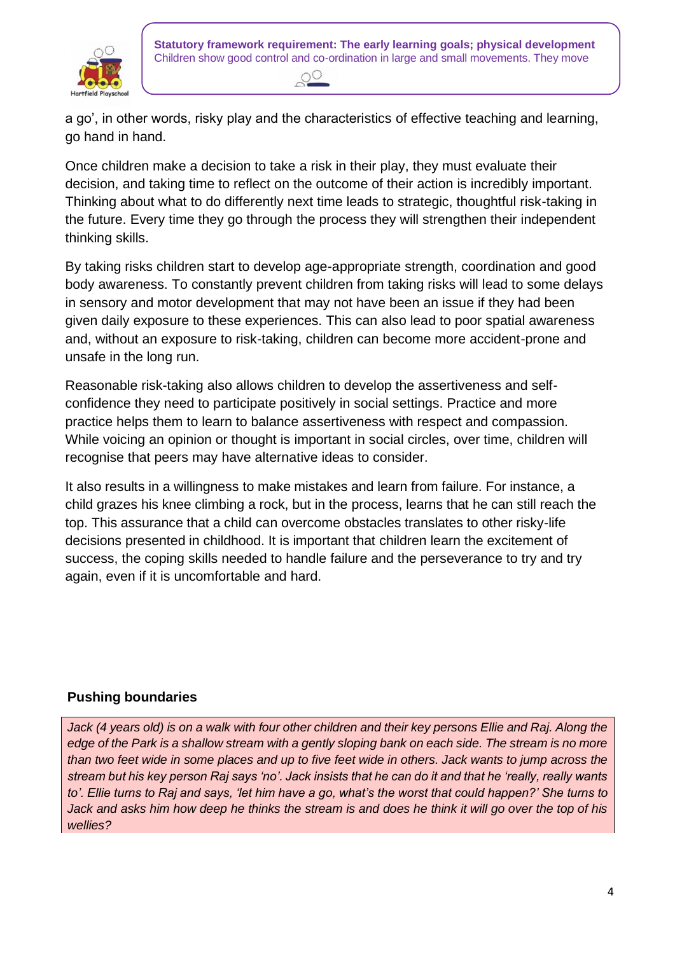



 $\overline{d}$ a go', in other words, risky play and the characteristics of effective teaching and learning, go hand in hand.

Once children make a decision to take a risk in their play, they must evaluate their decision, and taking time to reflect on the outcome of their action is incredibly important. Thinking about what to do differently next time leads to strategic, thoughtful risk-taking in the future. Every time they go through the process they will strengthen their independent thinking skills.

By taking risks children start to develop age-appropriate strength, coordination and good body awareness. To constantly prevent children from taking risks will lead to some delays in sensory and motor development that may not have been an issue if they had been given daily exposure to these experiences. This can also lead to poor spatial awareness and, without an exposure to risk-taking, children can become more accident-prone and unsafe in the long run.

Reasonable risk-taking also allows children to develop the assertiveness and selfconfidence they need to participate positively in social settings. Practice and more practice helps them to learn to balance assertiveness with respect and compassion. While voicing an opinion or thought is important in social circles, over time, children will recognise that peers may have alternative ideas to consider.

It also results in a willingness to make mistakes and learn from failure. For instance, a child grazes his knee climbing a rock, but in the process, learns that he can still reach the top. This assurance that a child can overcome obstacles translates to other risky-life decisions presented in childhood. It is important that children learn the excitement of success, the coping skills needed to handle failure and the perseverance to try and try again, even if it is uncomfortable and hard.

## **Pushing boundaries**

Jack (4 years old) is on a walk with four other children and their key persons Ellie and Raj. Along the *edge of the Park is a shallow stream with a gently sloping bank on each side. The stream is no more than two feet wide in some places and up to five feet wide in others. Jack wants to jump across the stream but his key person Raj says 'no'. Jack insists that he can do it and that he 'really, really wants to'. Ellie turns to Raj and says, 'let him have a go, what's the worst that could happen?' She turns to Jack and asks him how deep he thinks the stream is and does he think it will go over the top of his wellies?*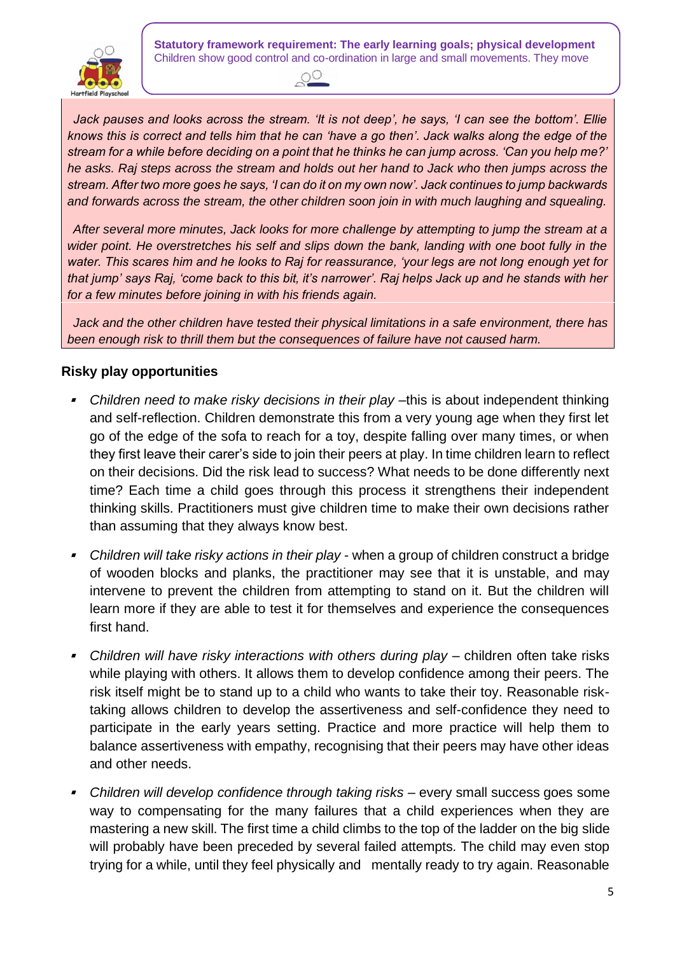

**Statutory framework requirement: The early learning goals; physical development** Children show good control and co-ordination in large and small movements. They move



knows this is correct and tells him that he can 'have a go then'. Jack walks along the edge of the *Jack pauses and looks across the stream. 'It is not deep', he says, 'I can see the bottom'. Ellie stream for a while before deciding on a point that he thinks he can jump across. 'Can you help me?' he asks. Raj steps across the stream and holds out her hand to Jack who then jumps across the stream. After two more goes he says, 'I can do it on my own now'. Jack continues to jump backwards and forwards across the stream, the other children soon join in with much laughing and squealing.*

*After several more minutes, Jack looks for more challenge by attempting to jump the stream at a wider point. He overstretches his self and slips down the bank, landing with one boot fully in the water. This scares him and he looks to Raj for reassurance, 'your legs are not long enough yet for that jump' says Raj, 'come back to this bit, it's narrower'. Raj helps Jack up and he stands with her for a few minutes before joining in with his friends again.*

*Jack and the other children have tested their physical limitations in a safe environment, there has been enough risk to thrill them but the consequences of failure have not caused harm.*

#### **Risky play opportunities**

- Children need to make risky decisions in their play -this is about independent thinking and self-reflection. Children demonstrate this from a very young age when they first let go of the edge of the sofa to reach for a toy, despite falling over many times, or when they first leave their carer's side to join their peers at play. In time children learn to reflect on their decisions. Did the risk lead to success? What needs to be done differently next time? Each time a child goes through this process it strengthens their independent thinking skills. Practitioners must give children time to make their own decisions rather than assuming that they always know best.
- ▪ *Children will take risky actions in their play* - when a group of children construct a bridge of wooden blocks and planks, the practitioner may see that it is unstable, and may intervene to prevent the children from attempting to stand on it. But the children will learn more if they are able to test it for themselves and experience the consequences first hand.
- **•** Children will have risky interactions with others during play children often take risks while playing with others. It allows them to develop confidence among their peers. The risk itself might be to stand up to a child who wants to take their toy. Reasonable risktaking allows children to develop the assertiveness and self-confidence they need to participate in the early years setting. Practice and more practice will help them to balance assertiveness with empathy, recognising that their peers may have other ideas and other needs.
- **EXALGREY** *Children will develop confidence through taking risks* **every small success goes some** way to compensating for the many failures that a child experiences when they are mastering a new skill. The first time a child climbs to the top of the ladder on the big slide will probably have been preceded by several failed attempts. The child may even stop trying for a while, until they feel physically and mentally ready to try again. Reasonable